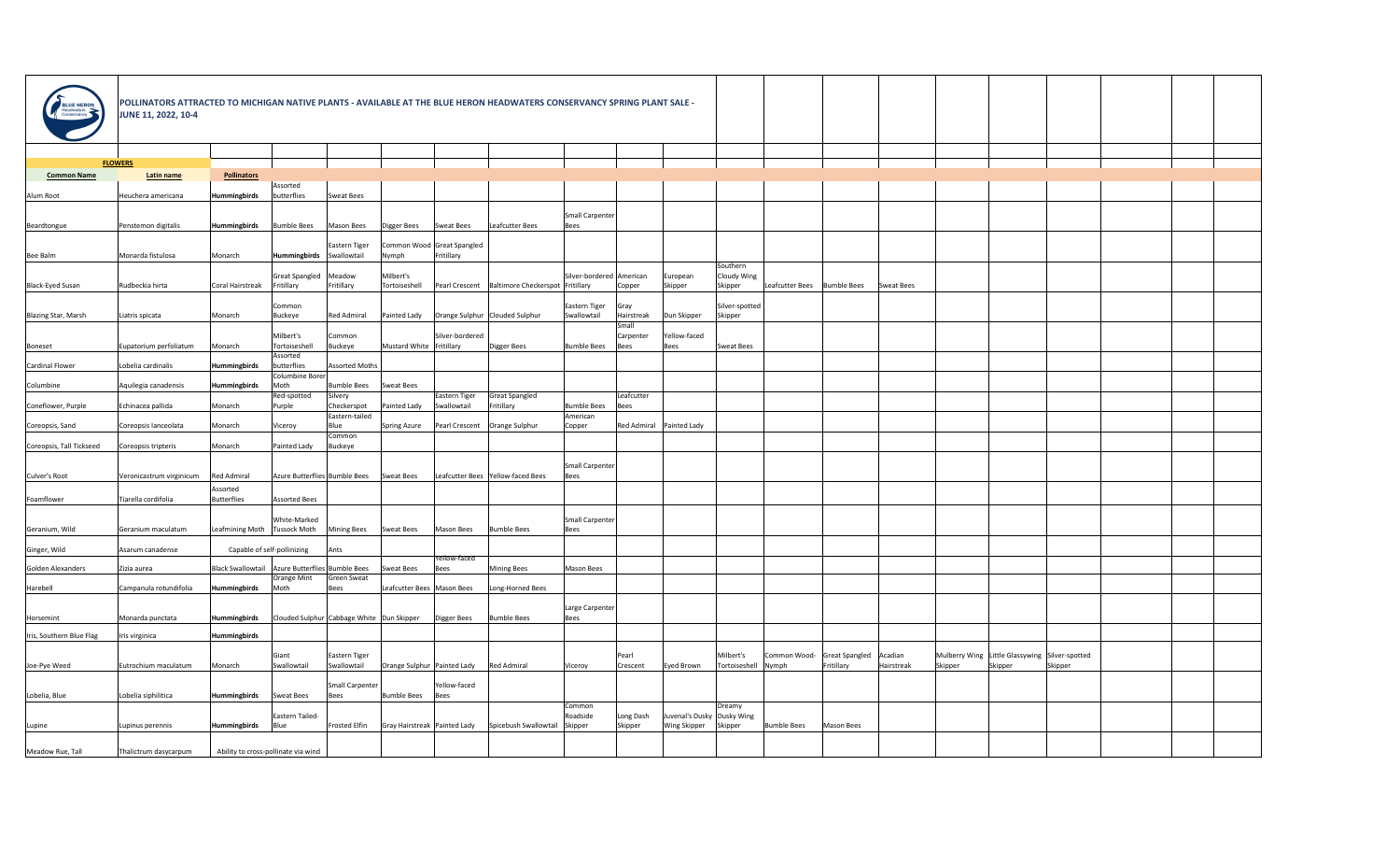

| BLUE HERON<br>Headwaters<br>Conservancy | POLLINATORS ATTRACTED TO MICHIGAN NATIVE PLANTS - AVAILABLE AT THE BLUE HERON HEADWATERS CONSERVANCY SPRING PLANT SALE -<br><b>JUNE 11, 2022, 10-4</b> |                                |                                                     |                         |                              |                              |                                                                   |                          |                          |                            |                |                    |                    |            |         |                                                |         |  |
|-----------------------------------------|--------------------------------------------------------------------------------------------------------------------------------------------------------|--------------------------------|-----------------------------------------------------|-------------------------|------------------------------|------------------------------|-------------------------------------------------------------------|--------------------------|--------------------------|----------------------------|----------------|--------------------|--------------------|------------|---------|------------------------------------------------|---------|--|
|                                         |                                                                                                                                                        |                                |                                                     |                         |                              |                              |                                                                   |                          |                          |                            |                |                    |                    |            |         |                                                |         |  |
|                                         | <b>FLOWERS</b>                                                                                                                                         |                                |                                                     |                         |                              |                              |                                                                   |                          |                          |                            |                |                    |                    |            |         |                                                |         |  |
| <b>Common Name</b>                      | Latin name                                                                                                                                             | <b>Pollinators</b>             |                                                     |                         |                              |                              |                                                                   |                          |                          |                            |                |                    |                    |            |         |                                                |         |  |
| Alum Root                               | Heuchera americana                                                                                                                                     | Hummingbirds                   | Assorted<br>butterflies                             | Sweat Bees              |                              |                              |                                                                   |                          |                          |                            |                |                    |                    |            |         |                                                |         |  |
|                                         |                                                                                                                                                        |                                |                                                     |                         |                              |                              |                                                                   |                          |                          |                            |                |                    |                    |            |         |                                                |         |  |
|                                         |                                                                                                                                                        | Hummingbirds                   | <b>Bumble Bees</b>                                  | Mason Bees              |                              | <b>Sweat Bees</b>            | Leafcutter Bees                                                   | Small Carpenter          |                          |                            |                |                    |                    |            |         |                                                |         |  |
| Beardtongue                             | Penstemon digitalis                                                                                                                                    |                                |                                                     |                         | Digger Bees                  |                              |                                                                   | Bees                     |                          |                            |                |                    |                    |            |         |                                                |         |  |
|                                         |                                                                                                                                                        |                                |                                                     | Eastern Tiger           | Common Wood Great Spangled   |                              |                                                                   |                          |                          |                            |                |                    |                    |            |         |                                                |         |  |
| Bee Balm                                | Monarda fistulosa                                                                                                                                      | Monarch                        | Hummingbirds                                        | Swallowtail             | Nymph                        | Fritillary                   |                                                                   |                          |                          |                            | Southern       |                    |                    |            |         |                                                |         |  |
|                                         |                                                                                                                                                        |                                | Great Spangled                                      | Meadow                  | Milbert's                    |                              |                                                                   | Silver-bordered American |                          | European                   | Cloudy Wing    |                    |                    |            |         |                                                |         |  |
| Black-Eyed Susan                        | Rudbeckia hirta                                                                                                                                        | Coral Hairstreak               | Fritillary                                          | Fritillary              | Tortoiseshell                |                              | Pearl Crescent   Baltimore Checkerspot   Fritillary               |                          | Copper                   | Skipper                    | Skipper        | Leafcutter Bees    | <b>Bumble Bees</b> | Sweat Bees |         |                                                |         |  |
|                                         |                                                                                                                                                        |                                | Common                                              |                         |                              |                              |                                                                   | Eastern Tiger            | Gray                     |                            | Silver-spotted |                    |                    |            |         |                                                |         |  |
| Blazing Star, Marsh                     | Liatris spicata                                                                                                                                        | Monarch                        | Buckeye                                             | Red Admiral             | Painted Lady                 |                              | Orange Sulphur   Clouded Sulphur                                  | Swallowtail              | Hairstreak               | Dun Skipper                | Skipper        |                    |                    |            |         |                                                |         |  |
|                                         |                                                                                                                                                        |                                | Milbert's                                           | Common                  |                              | Silver-bordered              |                                                                   |                          | Small<br>Carpenter       | Yellow-faced               |                |                    |                    |            |         |                                                |         |  |
| Boneset                                 | Eupatorium perfoliatum                                                                                                                                 | Monarch                        | Tortoiseshell                                       | Buckeye                 | Mustard White Fritillary     |                              | Digger Bees                                                       | <b>Bumble Bees</b>       | Bees                     | <b>Bees</b>                | Sweat Bees     |                    |                    |            |         |                                                |         |  |
|                                         |                                                                                                                                                        |                                | Assorted                                            |                         |                              |                              |                                                                   |                          |                          |                            |                |                    |                    |            |         |                                                |         |  |
| Cardinal Flower                         | Lobelia cardinalis                                                                                                                                     | Hummingbirds                   | butterflies<br>Columbine Borer                      | Assorted Moths          |                              |                              |                                                                   |                          |                          |                            |                |                    |                    |            |         |                                                |         |  |
| Columbine                               | Aquilegia canadensis                                                                                                                                   | Hummingbirds                   | Moth                                                | <b>Bumble Bees</b>      | Sweat Bees                   |                              |                                                                   |                          |                          |                            |                |                    |                    |            |         |                                                |         |  |
| Coneflower, Purple                      | Echinacea pallida                                                                                                                                      | Monarch                        | Red-spotted                                         | Silvery<br>Checkerspot  | Painted Lady                 | Eastern Tiger<br>Swallowtail | Great Spangled<br>Fritillary                                      | <b>Bumble Bees</b>       | Leafcutter               |                            |                |                    |                    |            |         |                                                |         |  |
|                                         |                                                                                                                                                        |                                | Purple                                              | Eastern-tailed          |                              |                              |                                                                   | American                 | Bees                     |                            |                |                    |                    |            |         |                                                |         |  |
| Coreopsis, Sand                         | Coreopsis lanceolata                                                                                                                                   | Monarch                        | Viceroy                                             | Blue                    | Spring Azure                 |                              | Pearl Crescent   Orange Sulphur                                   | Copper                   |                          | Red Admiral   Painted Lady |                |                    |                    |            |         |                                                |         |  |
| Coreopsis, Tall Tickseed                | Coreopsis tripteris                                                                                                                                    | Monarch                        | Painted Lady                                        | Common<br>Buckeye       |                              |                              |                                                                   |                          |                          |                            |                |                    |                    |            |         |                                                |         |  |
|                                         |                                                                                                                                                        |                                |                                                     |                         |                              |                              |                                                                   |                          |                          |                            |                |                    |                    |            |         |                                                |         |  |
|                                         |                                                                                                                                                        |                                |                                                     |                         |                              |                              |                                                                   | Small Carpenter          |                          |                            |                |                    |                    |            |         |                                                |         |  |
| Culver's Root                           | Veronicastrum virginicum                                                                                                                               | <b>Red Admiral</b>             | Azure Butterflies Bumble Bees                       |                         | Sweat Bees                   |                              | Leafcutter Bees Yellow-faced Bees                                 | Bees                     |                          |                            |                |                    |                    |            |         |                                                |         |  |
| Foamflower                              | Tiarella cordifolia                                                                                                                                    | Assorted<br>Butterflies        | Assorted Bees                                       |                         |                              |                              |                                                                   |                          |                          |                            |                |                    |                    |            |         |                                                |         |  |
|                                         |                                                                                                                                                        |                                |                                                     |                         |                              |                              |                                                                   |                          |                          |                            |                |                    |                    |            |         |                                                |         |  |
| Geranium, Wild                          | Geranium maculatum                                                                                                                                     | Leafmining Moth   Tussock Moth | White-Marked                                        | <b>Mining Bees</b>      | Sweat Bees                   | Mason Bees                   | <b>Bumble Bees</b>                                                | Small Carpenter<br>Bees  |                          |                            |                |                    |                    |            |         |                                                |         |  |
|                                         |                                                                                                                                                        |                                |                                                     |                         |                              |                              |                                                                   |                          |                          |                            |                |                    |                    |            |         |                                                |         |  |
| Ginger, Wild                            | Asarum canadense                                                                                                                                       |                                | Capable of self-pollinizing                         | Ants                    |                              | Yellow-faced                 |                                                                   |                          |                          |                            |                |                    |                    |            |         |                                                |         |  |
| Golden Alexanders                       | Zizia aurea                                                                                                                                            |                                | Black Swallowtail   Azure Butterflies   Bumble Bees |                         | Sweat Bees                   | Bees                         | <b>Mining Bees</b>                                                | Mason Bees               |                          |                            |                |                    |                    |            |         |                                                |         |  |
|                                         |                                                                                                                                                        |                                | Orange Mint                                         | Green Sweat             |                              |                              |                                                                   |                          |                          |                            |                |                    |                    |            |         |                                                |         |  |
| Harebell                                | Campanula rotundifolia                                                                                                                                 | Hummingbirds                   | Moth                                                | Bees                    | Leafcutter Bees   Mason Bees |                              | Long-Horned Bees                                                  |                          |                          |                            |                |                    |                    |            |         |                                                |         |  |
|                                         |                                                                                                                                                        |                                |                                                     |                         |                              |                              |                                                                   | Large Carpenter          |                          |                            |                |                    |                    |            |         |                                                |         |  |
| Horsemint                               | Monarda punctata                                                                                                                                       | Hummingbirds                   | Clouded Sulphur Cabbage White   Dun Skipper         |                         |                              | Digger Bees                  | <b>Bumble Bees</b>                                                | <b>Bees</b>              |                          |                            |                |                    |                    |            |         |                                                |         |  |
| Iris, Southern Blue Flag                | Iris virginica                                                                                                                                         | Hummingbirds                   |                                                     |                         |                              |                              |                                                                   |                          |                          |                            |                |                    |                    |            |         |                                                |         |  |
|                                         |                                                                                                                                                        |                                | Giant                                               | Eastern Tiger           |                              |                              |                                                                   |                          |                          |                            | Milbert's      | Common Wood-       | Great Spangled     | Acadian    |         | Mulberry Wing Little Glassywing Silver-spotted |         |  |
| Joe-Pye Weed                            | Eutrochium maculatum                                                                                                                                   | Monarch                        | Swallowtail                                         | Swallowtail             | Orange Sulphur Painted Lady  |                              | Red Admiral                                                       | Viceroy                  | Pearl<br><b>Crescent</b> | Eyed Brown                 | Tortoiseshell  | Nymph              | Fritillary         | Hairstreak | Skipper | Skipper                                        | Skipper |  |
|                                         |                                                                                                                                                        |                                |                                                     |                         |                              |                              |                                                                   |                          |                          |                            |                |                    |                    |            |         |                                                |         |  |
| Lobelia, Blue                           | Lobelia siphilitica                                                                                                                                    | Hummingbirds Sweat Bees        |                                                     | Small Carpenter<br>Bees | Bumble Bees   Bees           | Yellow-faced                 |                                                                   |                          |                          |                            |                |                    |                    |            |         |                                                |         |  |
|                                         |                                                                                                                                                        |                                |                                                     |                         |                              |                              |                                                                   | Common                   |                          |                            | Dreamy         |                    |                    |            |         |                                                |         |  |
|                                         |                                                                                                                                                        |                                | Eastern Tailed-                                     |                         |                              |                              |                                                                   | Roadside                 | Long Dash                | Juvenal's Dusky Dusky Wing |                |                    |                    |            |         |                                                |         |  |
| Lupine                                  | Lupinus perennis                                                                                                                                       | Hummingbirds                   | Blue                                                | Frosted Elfin           |                              |                              | $ Gray\,$ Hairstreak Painted Lady   Spicebush Swallowtail Skipper |                          | Skipper                  | <b>Wing Skipper</b>        | Skipper        | <b>Bumble Bees</b> | Mason Bees         |            |         |                                                |         |  |
| Meadow Rue, Tall                        | Thalictrum dasycarpum                                                                                                                                  |                                | Ability to cross-pollinate via wind                 |                         |                              |                              |                                                                   |                          |                          |                            |                |                    |                    |            |         |                                                |         |  |
|                                         |                                                                                                                                                        |                                |                                                     |                         |                              |                              |                                                                   |                          |                          |                            |                |                    |                    |            |         |                                                |         |  |